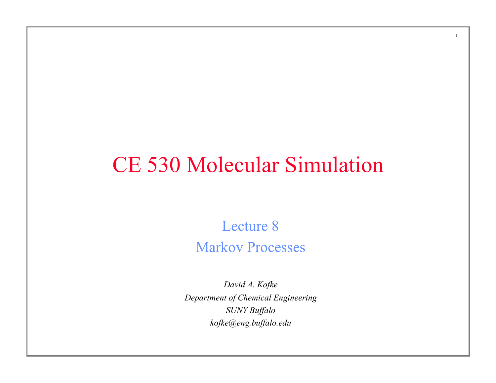# CE 530 Molecular Simulation

1

Lecture 8 Markov Processes

*David A. Kofke Department of Chemical Engineering SUNY Buffalo kofke@eng.buffalo.edu*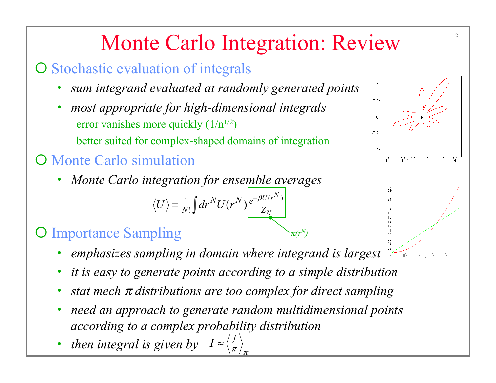# Monte Carlo Integration: Review

- O Stochastic evaluation of integrals
	- *sum integrand evaluated at randomly generated points*
	- *most appropriate for high-dimensional integrals*  error vanishes more quickly  $(1/n^{1/2})$ better suited for complex-shaped domains of integration

### **O** Monte Carlo simulation

• *Monte Carlo integration for ensemble averages* 

$$
\langle U \rangle = \frac{1}{N!} \int dr^N U(r^N) \frac{e^{-\beta U(r^N)}}{Z_N}
$$

### **O** Importance Sampling

- *emphasizes sampling in domain where integrand is largest*
- *it is easy to generate points according to a simple distribution*

<sup>π</sup>*(rN)*

- *stat mech* <sup>π</sup> *distributions are too complex for direct sampling*
- *need an approach to generate random multidimensional points according to a complex probability distribution*
- *then integral is given by*  $I \approx \left\langle \frac{f}{\pi} \right\rangle$  $\pi_{\,/\,\pi}$



 $0.4$ 

 $0.2<sub>1</sub>$ 

 $-0.2$ 

 $-0.4$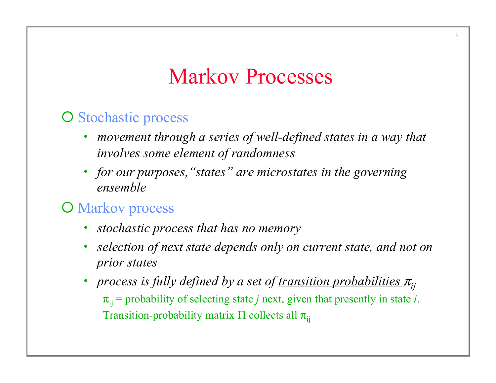## Markov Processes

#### O Stochastic process

- *movement through a series of well-defined states in a way that involves some element of randomness*
- *for our purposes,"states" are microstates in the governing ensemble*

#### **O** Markov process

- *stochastic process that has no memory*
- *selection of next state depends only on current state, and not on prior states*
- *process is fully defined by a set of <u>transition probabilities</u>*  $\pi$ <sub>*ii*</sub>  $\pi_{ii}$  = probability of selecting state *j* next, given that presently in state *i*. Transition-probability matrix  $\Pi$  collects all  $\pi_{ii}$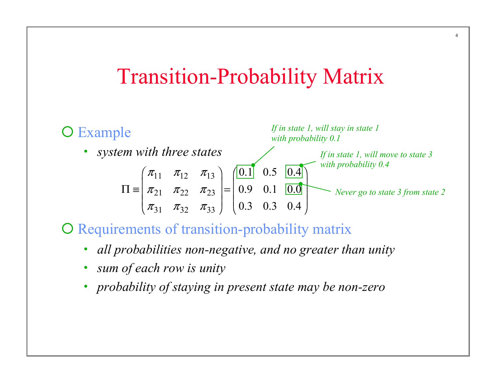### Transition-Probability Matrix

4



O Requirements of transition-probability matrix

- *all probabilities non-negative, and no greater than unity*
- *sum of each row is unity*
- *probability of staying in present state may be non-zero*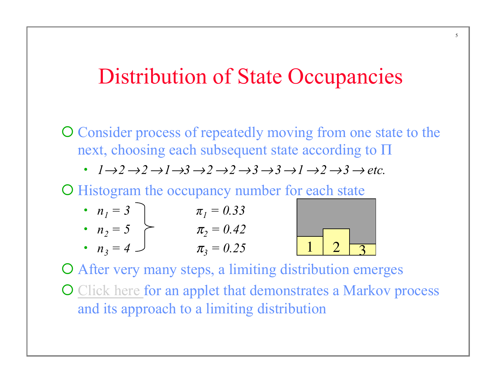## Distribution of State Occupancies

O Consider process of repeatedly moving from one state to the next, choosing each subsequent state according to Π

• *1*→*2*→*2*→*1*→*3*→*2*→*2*→*3*→*3*→*1*→*2*→*3*→ *etc.* 

O Histogram the occupancy number for each state

• 
$$
n_1 = 3
$$
  
\n•  $n_2 = 5$   
\n•  $n_3 = 4$   
\n $\pi_1 = 0.33$   
\n $\pi_2 = 0.42$   
\n $\pi_3 = 0.25$ 

O After very many steps, a limiting distribution emerges O Click here for an applet that demonstrates a Markov process and its approach to a limiting distribution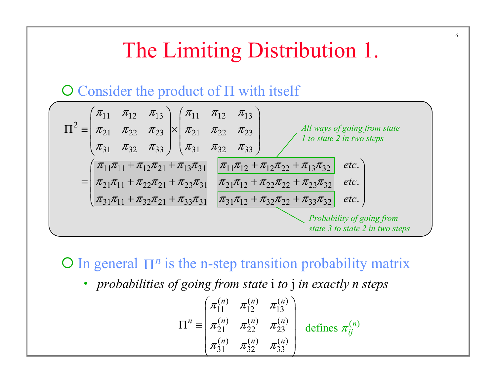## The Limiting Distribution 1.

#### $\overline{O}$  Consider the product of  $\Pi$  with itself



 $\bigcirc$  In general  $\prod^n$  is the n-step transition probability matrix

• *probabilities of going from state* i *to* j *in exactly n steps* 

$$
\Pi^{n} \equiv \begin{pmatrix} \pi_{11}^{(n)} & \pi_{12}^{(n)} & \pi_{13}^{(n)} \\ \pi_{21}^{(n)} & \pi_{22}^{(n)} & \pi_{23}^{(n)} \\ \pi_{31}^{(n)} & \pi_{32}^{(n)} & \pi_{33}^{(n)} \end{pmatrix} \text{ defines } \pi_{ij}^{(n)}
$$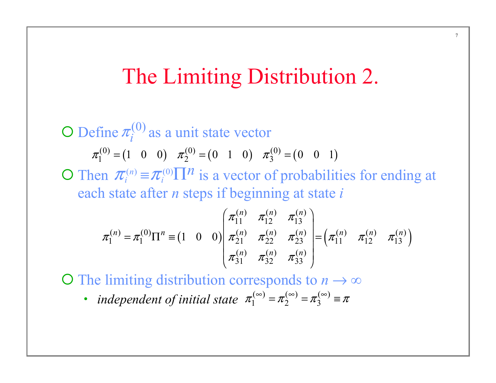## The Limiting Distribution 2.

O Define  $\pi_i^{(0)}$  as a unit state vector O Then  $\pi_i^{(n)} \equiv \pi_i^{(0)} \prod^n$  is a vector of probabilities for ending at each state after *n* steps if beginning at state *i*  $\pi_1^{(0)} = (1 \quad 0 \quad 0) \quad \pi_2^{(0)} = (0 \quad 1 \quad 0) \quad \pi_3^{(0)} = (0 \quad 0 \quad 1)$  $\pi_i^{(n)} \equiv \pi_i^{(0)} \prod n_i$  $\pi_i$  $(1 \quad 0 \quad 0) \left| \pi_{21}^{(n)} \pi_{22}^{(n)} \pi_{23}^{(n)} \right| = (\pi_{11}^{(n)} \pi_{12}^{(n)} \pi_{13}^{(n)})$  $(n)$   $\pi^{(n)}$   $\pi^{(n)}$ 11  $n_{12}$   $n_{13}$  $\sigma(n) = \pi^{(0)} \Pi^{n} - (1 \quad 0 \quad 0) \pi^{(n)} = \pi^{(n)} \quad \pi^{(n)} = \pi^{(n)} \quad \pi^{(n)} = \pi^{(n)} \quad \pi^{(n)}$  $1 - \mu_1$  11 = (1 0 0)  $\mu_{21}$   $\mu_{22}$   $\mu_{23}$  |  $\mu_{11}$   $\mu_{12}$   $\mu_{13}$  $(n)$   $\pi^{(n)}$   $\pi^{(n)}$ 100 *n*)  $\pi^{(n)}$   $\pi^{(n)}$  $\sigma^{(n)} = \pi^{(0)} \Pi^{n} - (1 \quad 0 \quad 0) \frac{1}{\pi^{(n)}} \pi^{(n)} \quad \pi^{(n)} = \pi^{(n)} \Pi^{(n)} \pi^{(n)} \quad \pi^{(n)}$ *n*)  $\pi^{(n)}$   $\pi^{(n)}$  $\pi_{11}^{\cdots}$   $\pi_{12}^{\cdots}$   $\pi$  $\pi_1^{\gamma\gamma\gamma} = \pi_1^{\gamma\gamma} \Pi^{\gamma\gamma} \equiv (1 \quad 0 \quad 0) \mid \pi_{\gamma\gamma\gamma}^{\gamma\gamma\gamma} = \pi_{\gamma\gamma\gamma}^{\gamma\gamma\gamma} = (\pi_{\gamma\gamma\gamma}^{\gamma\gamma}) \pi_{\gamma\gamma}^{\gamma\gamma} = \pi_{\gamma\gamma\gamma}^{\gamma\gamma}$  $\begin{pmatrix} \pi_1^{(n)} & \pi_1^{(n)} & \pi_1^{(n)} \end{pmatrix}$  $\begin{pmatrix} 11 & 12 & 15 \\ 1 & 1 & 1 \end{pmatrix}$  $=\pi_1^{(0)}\Pi^n \equiv (1 \quad 0 \quad 0) |\pi_{21}^{(n)} \pi_{22}^{(n)} \pi_{23}^{(n)}| =$ 

31  $\frac{\pi_{32}}{\frac{33}{33}}$ 

 $\begin{pmatrix} n_{31} & n_{32} & n_{33} \end{pmatrix}$ 

 $\pi_{21}^{\cdots}$   $\pi_{22}^{\cdots}$   $\pi$ 

 $\bigcirc$  The limiting distribution corresponds to  $n \to \infty$ 

• *independent of initial state* 
$$
\pi_1^{(\infty)} = \pi_2^{(\infty)} = \pi_3^{(\infty)} \equiv \pi
$$

7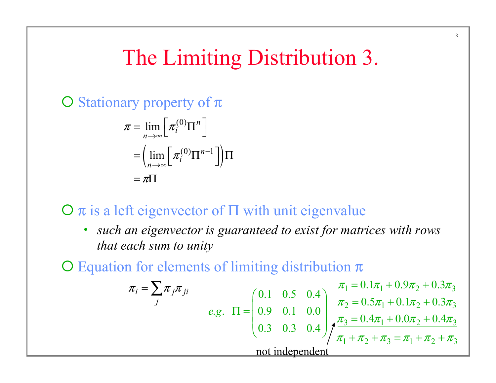# The Limiting Distribution 3.

 $\overline{O}$  Stationary property of  $\pi$ 

$$
\pi = \lim_{n \to \infty} \left[ \pi_i^{(0)} \Pi^n \right]
$$

$$
= \left( \lim_{n \to \infty} \left[ \pi_i^{(0)} \Pi^{n-1} \right] \right) \Pi
$$

$$
= \pi \Pi
$$

#### $\Omega$  π is a left eigenvector of  $\Pi$  with unit eigenvalue

• *such an eigenvector is guaranteed to exist for matrices with rows that each sum to unity* 

 $\overline{O}$  Equation for elements of limiting distribution  $\pi$ 

$$
\pi_{i} = \sum_{j} \pi_{j} \pi_{ji}
$$
\n
$$
e.g. \Pi = \begin{pmatrix} 0.1 & 0.5 & 0.4 \\ 0.9 & 0.1 & 0.0 \\ 0.3 & 0.3 & 0.4 \end{pmatrix} \begin{pmatrix} \pi_{1} = 0.1\pi_{1} + 0.9\pi_{2} + 0.3\pi_{3} \\ \pi_{2} = 0.5\pi_{1} + 0.1\pi_{2} + 0.3\pi_{3} \\ \pi_{3} = 0.4\pi_{1} + 0.0\pi_{2} + 0.4\pi_{3} \\ \pi_{1} + \pi_{2} + \pi_{3} = \pi_{1} + \pi_{2} + \pi_{3} \end{pmatrix}
$$
\nnot independent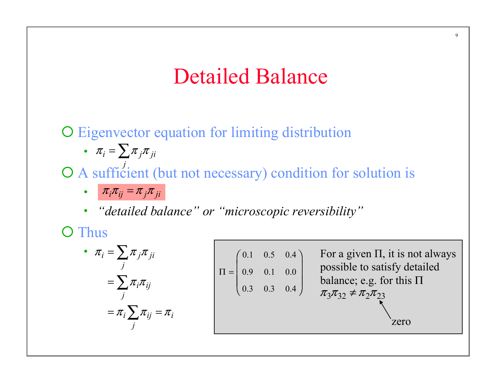## Detailed Balance

O Eigenvector equation for limiting distribution

• 
$$
\pi_i = \sum_i \pi_j \pi_{ji}
$$

O A sufficient (but not necessary) condition for solution is *j*

- $\pi_i \pi_{ij} = \pi_j \pi_{ji}$
- *"detailed balance" or "microscopic reversibility"*

O Thus

• 
$$
\pi_i = \sum_j \pi_j \pi_{ji}
$$
  
\n
$$
= \sum_j \pi_i \pi_{ij}
$$
\n
$$
= \pi_i \sum_j \pi_{ij} = \pi_i
$$
\n
$$
= \pi_i \sum_j \pi_{ij} = \pi_i
$$
\n
$$
= \pi_i \sum_j \pi_{ij} = \pi_i
$$
\n
$$
= \pi_i \sum_j \pi_{ij} = \pi_i
$$
\n
$$
= \pi_i \sum_j \pi_{ij} = \pi_i
$$
\n
$$
= \pi_i \sum_j \pi_{ij} = \pi_i
$$
\n
$$
= \pi_i \sum_j \pi_{ij} = \pi_i
$$
\n
$$
= \pi_i \sum_j \pi_{ij} = \pi_i
$$
\n
$$
= \pi_i \sum_j \pi_{ij} = \pi_i
$$
\n
$$
= \pi_i \sum_j \pi_{ij} = \pi_i
$$
\n
$$
= \pi_i \sum_j \pi_{ij} = \pi_i
$$
\n
$$
= \pi_i \sum_j \pi_{ij} = \pi_i
$$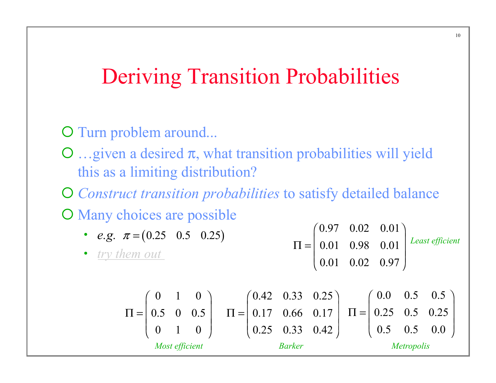## Deriving Transition Probabilities

#### O Turn problem around...

 $\Omega$  ... given a desired  $\pi$ , what transition probabilities will yield this as a limiting distribution?

¡ *Construct transition probabilities* to satisfy detailed balance O Many choices are possible

\n- e.g. 
$$
\pi = (0.25 \quad 0.5 \quad 0.25)
$$
\n- $try$  them out
\n- $\pi = \begin{pmatrix} 0.97 & 0.02 & 0.01 \\ 0.01 & 0.98 & 0.01 \\ 0.01 & 0.02 & 0.97 \end{pmatrix}$  Least efficient
\n

$$
\Pi = \begin{pmatrix} 0 & 1 & 0 \\ 0.5 & 0 & 0.5 \\ 0 & 1 & 0 \\ \end{pmatrix} \quad \Pi = \begin{pmatrix} 0.42 & 0.33 & 0.25 \\ 0.17 & 0.66 & 0.17 \\ 0.25 & 0.33 & 0.42 \end{pmatrix} \quad \Pi = \begin{pmatrix} 0.0 & 0.5 & 0.5 \\ 0.25 & 0.5 & 0.25 \\ 0.5 & 0.5 & 0.0 \\ \end{pmatrix}
$$
  
\n*Most efficient Barker Metropolis*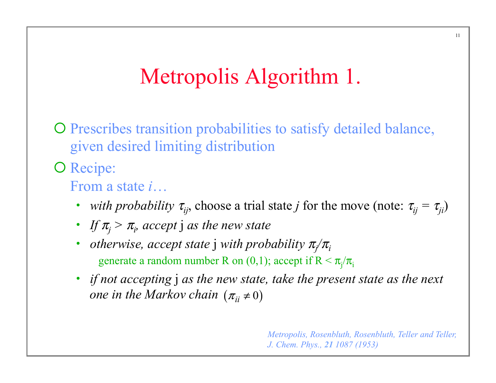# Metropolis Algorithm 1.

¡ Prescribes transition probabilities to satisfy detailed balance, given desired limiting distribution

O Recipe:

From a state *i*…

- *with probability*  $\tau_{ii}$ , choose a trial state *j* for the move (note:  $\tau_{ii} = \tau_{ii}$ )
- *If*  $\pi$ <sup>*j*</sup> >  $\pi$ <sup>*j*</sup> *accept j as the new state*
- *otherwise, accept state* j *with probability* <sup>π</sup>*<sup>j</sup> /*π*i* generate a random number R on  $(0,1)$ ; accept if  $R < \pi$ <sub>j</sub>/ $\pi$ <sub>i</sub>
- *if not accepting* j *as the new state, take the present state as the next one in the Markov chain*  $(\pi_{ii} \neq 0)$

*Metropolis, Rosenbluth, Rosenbluth, Teller and Teller, J. Chem. Phys., 21 1087 (1953)*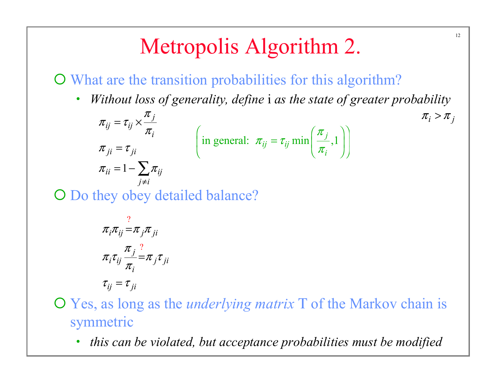# Metropolis Algorithm 2.

¡ What are the transition probabilities for this algorithm?

• *Without loss of generality, define* i *as the state of greater probability* 

12

 $\pi_i > \pi_j$ 

in general:  $\pi_{ij} = \tau_{ij} \min \left| \frac{\pi_j}{\pi}, 1 \right|$ *i* π  $\pi_{ii} = \tau$  $\pi$  $\left(\text{in general: } \pi_{ij} = \tau_{ij} \min\left(\frac{\pi_j}{\pi_i}, 1\right)\right)$  $\tau_{ii} = 1 - \sum \pi_{ij}$ *j*  $\delta_{ij} = i_{ij}$ *i*  $\mu = \iota_{ji}$  $j \neq i$  $\pi$  $\pi_{::}=\tau$ π  $\pi$   $_{ii}$   $=$   $\tau$  $\pi_{ii} = 1 - \sum \pi$ ≠  $=\tau_{ii}^{\mathstrut} \times$ =  $= 1 - \sum$ 

O Do they obey detailed balance?

$$
\pi_i \pi_{ij} = \pi_j \pi_{ji}
$$
\n
$$
\pi_i \tau_{ij} \frac{\pi_j^2}{\pi_i} = \pi_j \tau_{ji}
$$
\n
$$
\tau_{ij} = \tau_{ji}
$$

¡ Yes, as long as the *underlying matrix* Τ of the Markov chain is symmetric

• *this can be violated, but acceptance probabilities must be modified*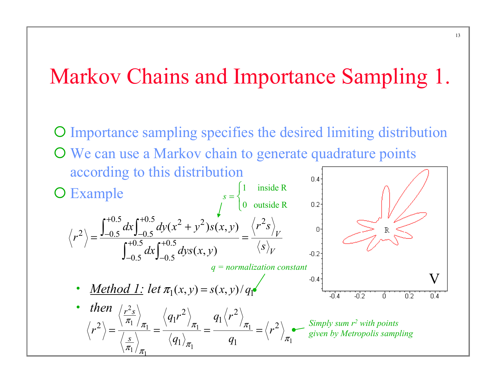## Markov Chains and Importance Sampling 1.

¡ Importance sampling specifies the desired limiting distribution O We can use a Markov chain to generate quadrature points according to this distribution  $s = \begin{cases} \frac{1}{s} & \text{if } s \leq s \end{cases}$ 1 inside R O Example 0 outside R  $\overline{a}$  $0.5$  dx  $\int_0^{+0.5} dx (x^2 + y^2) g(x, y) \left(x^2 - y^2\right)$  $+0.5$ ,  $+1$  $dx \int_{0}^{+\infty} dy (x^2 + y^2) s(x, y) \sqrt{r^2} s$  $\int_{-0.5}^{0.5} dx$  $(x^2 + y^2)s(x, y)$ +  $2 \big\backslash - \frac{\mathsf{J}_{-0.5}}{0.5}$  and  $\mathsf{J}_{-0.5}$ *V*  $-0.5$   $-1$ *r*  $=\frac{J-0.5 \quad J-0.5 \quad \text{and} \quad J}{2.10.5 \quad \text{and} \quad J} =$  $+0.5$ , r+  $0.5$ ,  $r+0.5$  $dx \int_{0}^{+0.5} dy s(x, y)$  (*s*  $\int_{-0.5}^{0.5} dx$  $(x, y)$ *V*  $-0.2$  $-0.5$  J- $0.5$   $J=0.5$ *q = normalization constant* V  $-0.4$ • <u>*Method 1:*</u> let  $\pi_1(x, y) = s(x, y)/q_1$  $-0.4$ -02 ά ۵þ ΠA • *then*  $/r^2$  $r^2$ <sub>S</sub> 2  $\sqrt{r^2}$  $q_1r^2$   $q_1\langle r$  $1^r \left( \frac{1}{2} \right)$   $q_1$  $\pi_1$   $\pi_1$   $\pi_1$   $\pi_1$   $\pi_1$   $\pi_1$ *Simply sum r2 with points*   $\frac{1}{\pi_1}$   $\frac{1}{\pi_1}$   $\frac{1}{\pi_1}$   $\frac{1}{\pi_1}$   $\frac{1}{\pi_1}$  $2\setminus\_\_$   $\begin{matrix} 2\end{matrix}$   $\begin{matrix} \pi_1 & \pi_1 \\ \pi_1 & \pi_1 \end{matrix}$   $\begin{matrix} \pi_1 & \pi_1 \\ \pi_1 & \pi_1 \end{matrix}$  $r^2$   $\rangle = \frac{r^2 + r^2 \pi_1}{r^2} = \frac{r^2 + r^2 \pi_1}{r^2} = \frac{r^2 + r^2 \pi_1}{r^2} = \frac{r^2}{r^2}$ == = = *given by Metropolis sampling* $q_1$ <sub> $\frac{1}{q_1}$  q</sub> *s* π 1  $\left\langle \frac{1}{\pi_1} \right\rangle$   $\left\langle \frac{q_1}{q_2} \right\rangle$  $\pi_1/\pi_1$   $\cdots$  $\frac{1}{\pi_1}$   $\frac{1}{\pi_1}$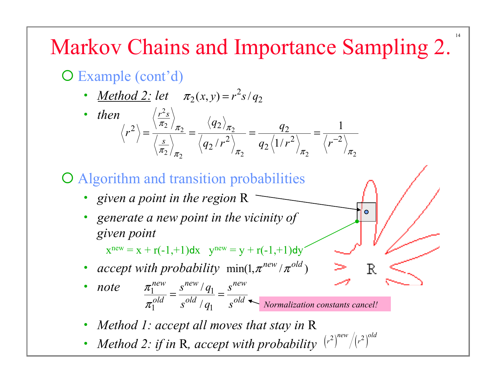# Markov Chains and Importance Sampling 2.

14

R

O Example (cont'd)

- <u>Method 2:</u> let  $\pi_2(x, y) = r^2 s / q_2$
- *then*  $\left(\frac{r^2}{r}\right)$  $\frac{2}{\pi_2}$   $\frac{92}{\pi_2}$  $2/\pi_2$   $\pi_2$   $\pi_2$   $\pi_1$  $2 \setminus \_\frac{\setminus \pi_2}{\pi_2} = \frac{\setminus q_2}{\pi_2} = \frac{q_2}{q_2}$ 2)  $a \left(1 \right) x^2$   $\left(1 \right) x^{-2}$  $2/r$  /  $42$ 1  $\langle r^2 \rangle$   $q_2 \langle 1 \rangle$  $r^2$ <sub>s</sub> *s*  $\langle r^2 \rangle = \frac{\langle \overline{\pi_2} \rangle_{\pi_2}}{\langle r \rangle_{\pi_2}} = \frac{\langle q_2 \rangle_{\pi_2}}{\langle r \rangle_{\pi_2}} = \frac{q}{\langle r \rangle_{\pi_2}}$  $q_2/r^2$   $q_2\langle 1/r^2 \rangle$   $\langle r \rangle$  $\frac{\pi_2}{\pi_2}$   $\frac{\left(42\right)}{\pi}$  $\pi_2/\pi_2$   $\pi_2$   $\pi_1$   $\pi_2$   $\pi_2$   $\pi$  $=\frac{q_2}{\sqrt{s}}=\frac{q_2}{\sqrt{a^2+a^2}}=\frac{q_2}{\sqrt{a^2+a^2}}=\frac{q_2}{\sqrt{a^2+a^2}}=\frac{q_2}{\sqrt{a^2+a^2}}$

¡ Algorithm and transition probabilities

- *given a point in the region* R
- *generate a new point in the vicinity of given point*

 $x^{new} = x + r(-1,+1)dx$   $y^{new} = y + r(-1,+1)dy'$ 

- *accept with probability*  $min(1, \pi^{new}/\pi^{old})$
- *note*  $\frac{\pi_1^{new}}{1 \frac{s^{new}}{1}}$  $1 \quad S \quad q_1$ / / *new new new*  $\overline{old}$   $\overline{old}$   $\overline{q}$   $\overline{old}$  $s^{new}/q_1$  *s*  $s^{old}/q_1$  *s* π  $\pi$  $=\frac{3 \times 91}{\sqrt{d}}$ *Normalization constants cancel!*
- *Method 1: accept all moves that stay in* R
- *Method 2: if in R, accept with probability*  $(r^2)^{new}/(r^2)^{old}$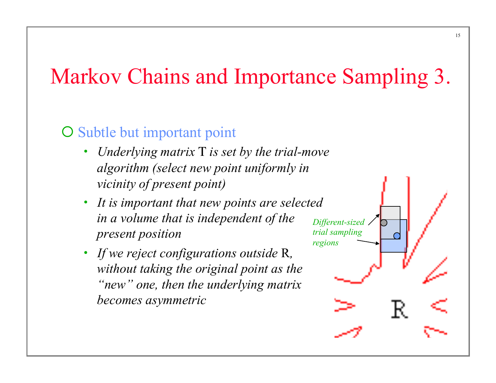# Markov Chains and Importance Sampling 3.

#### $\overline{O}$  Subtle but important point

- *Underlying matrix* Τ *is set by the trial-move algorithm (select new point uniformly in vicinity of present point)*
- *It is important that new points are selected in a volume that is independent of the present position*
- *If we reject configurations outside* R*, without taking the original point as the "new" one, then the underlying matrix becomes asymmetric*



15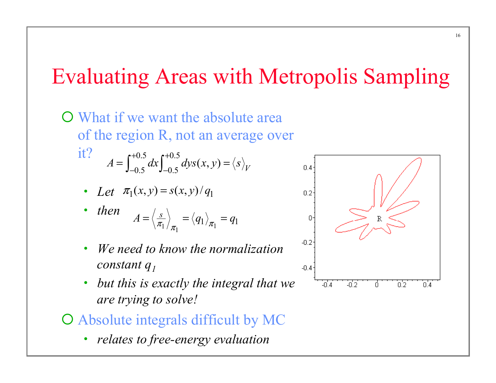# Evaluating Areas with Metropolis Sampling

**O** What if we want the absolute area of the region R, not an average over it?  $0.5$ ,  $r+0.5$  $A = \int_{-0.5}^{0.5} dx \int_{-0.5}^{0.5} dy s(x, y) = \langle s \rangle_{V}$  $+0.5$ , r+  $=\int_{-0.5}^{0.5} dx \int_{-0.5}^{0.5} dy s(x, y) =$ 

• Let 
$$
\pi_1(x, y) = s(x, y) / q_1
$$

- *then*   $1 / \pi_1$   $1 / \pi_1$  $A=\left\langle \frac{s}{\pi_1}\right\rangle_{\pi_1}=\left\langle q_1\right\rangle_{\pi_1}=q_1.$
- *We need to know the normalization constant q1*
- *but this is exactly the integral that we are trying to solve!*
- ¡ Absolute integrals difficult by MC
	- *relates to free-energy evaluation*